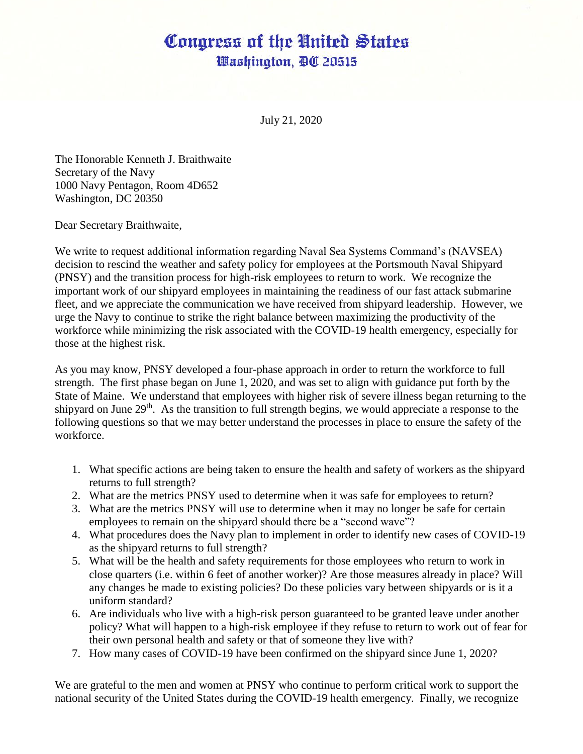## Congress of the United States Washington, DC 20515

July 21, 2020

The Honorable Kenneth J. Braithwaite Secretary of the Navy 1000 Navy Pentagon, Room 4D652 Washington, DC 20350

Dear Secretary Braithwaite,

We write to request additional information regarding Naval Sea Systems Command's (NAVSEA) decision to rescind the weather and safety policy for employees at the Portsmouth Naval Shipyard (PNSY) and the transition process for high-risk employees to return to work. We recognize the important work of our shipyard employees in maintaining the readiness of our fast attack submarine fleet, and we appreciate the communication we have received from shipyard leadership. However, we urge the Navy to continue to strike the right balance between maximizing the productivity of the workforce while minimizing the risk associated with the COVID-19 health emergency, especially for those at the highest risk.

As you may know, PNSY developed a four-phase approach in order to return the workforce to full strength. The first phase began on June 1, 2020, and was set to align with guidance put forth by the State of Maine. We understand that employees with higher risk of severe illness began returning to the shipyard on June 29<sup>th</sup>. As the transition to full strength begins, we would appreciate a response to the following questions so that we may better understand the processes in place to ensure the safety of the workforce.

- 1. What specific actions are being taken to ensure the health and safety of workers as the shipyard returns to full strength?
- 2. What are the metrics PNSY used to determine when it was safe for employees to return?
- 3. What are the metrics PNSY will use to determine when it may no longer be safe for certain employees to remain on the shipyard should there be a "second wave"?
- 4. What procedures does the Navy plan to implement in order to identify new cases of COVID-19 as the shipyard returns to full strength?
- 5. What will be the health and safety requirements for those employees who return to work in close quarters (i.e. within 6 feet of another worker)? Are those measures already in place? Will any changes be made to existing policies? Do these policies vary between shipyards or is it a uniform standard?
- 6. Are individuals who live with a high-risk person guaranteed to be granted leave under another policy? What will happen to a high-risk employee if they refuse to return to work out of fear for their own personal health and safety or that of someone they live with?
- 7. How many cases of COVID-19 have been confirmed on the shipyard since June 1, 2020?

We are grateful to the men and women at PNSY who continue to perform critical work to support the national security of the United States during the COVID-19 health emergency. Finally, we recognize